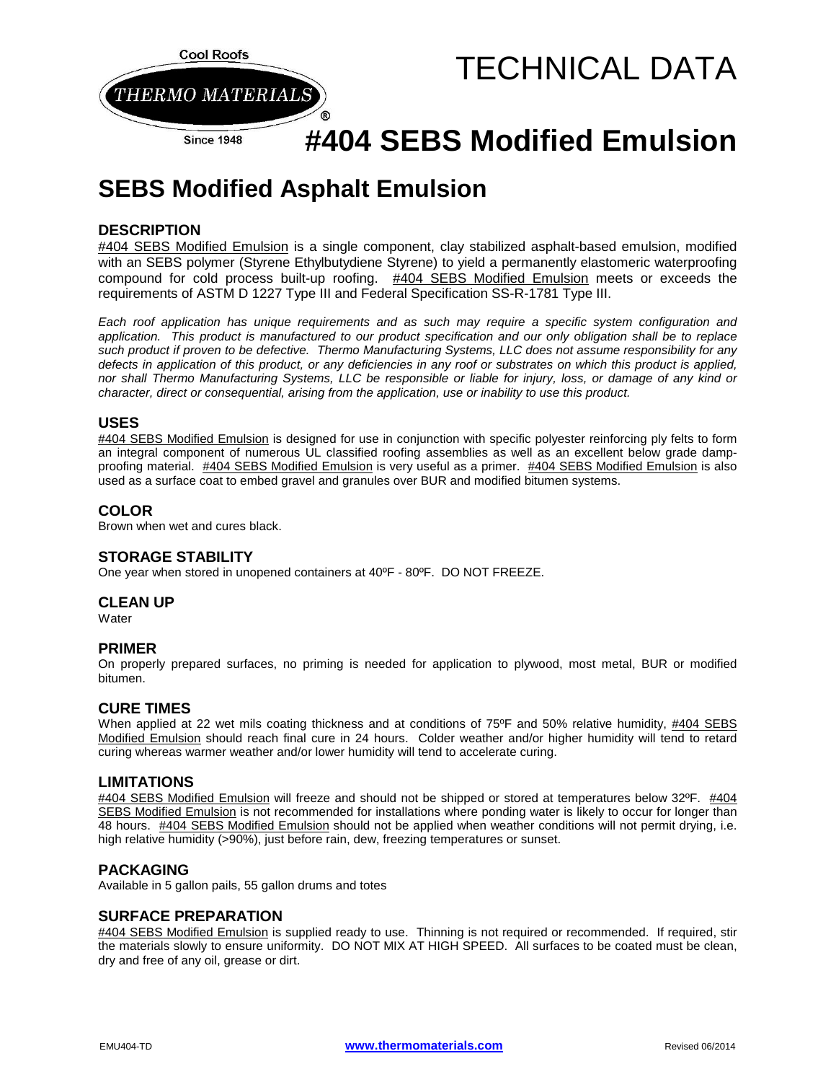

# **#404 SEBS Modified Emulsion**

# **SEBS Modified Asphalt Emulsion**

### **DESCRIPTION**

#404 SEBS Modified Emulsion is a single component, clay stabilized asphalt-based emulsion, modified with an SEBS polymer (Styrene Ethylbutydiene Styrene) to yield a permanently elastomeric waterproofing compound for cold process built-up roofing. #404 SEBS Modified Emulsion meets or exceeds the requirements of ASTM D 1227 Type III and Federal Specification SS-R-1781 Type III.

*Each roof application has unique requirements and as such may require a specific system configuration and application. This product is manufactured to our product specification and our only obligation shall be to replace such product if proven to be defective. Thermo Manufacturing Systems, LLC does not assume responsibility for any defects in application of this product, or any deficiencies in any roof or substrates on which this product is applied, nor shall Thermo Manufacturing Systems, LLC be responsible or liable for injury, loss, or damage of any kind or character, direct or consequential, arising from the application, use or inability to use this product.*

#### **USES**

#404 SEBS Modified Emulsion is designed for use in conjunction with specific polyester reinforcing ply felts to form an integral component of numerous UL classified roofing assemblies as well as an excellent below grade dampproofing material. #404 SEBS Modified Emulsion is very useful as a primer. #404 SEBS Modified Emulsion is also used as a surface coat to embed gravel and granules over BUR and modified bitumen systems.

#### **COLOR**

Brown when wet and cures black.

# **STORAGE STABILITY**

One year when stored in unopened containers at 40ºF - 80ºF. DO NOT FREEZE.

#### **CLEAN UP**

**Water** 

#### **PRIMER**

On properly prepared surfaces, no priming is needed for application to plywood, most metal, BUR or modified bitumen.

#### **CURE TIMES**

When applied at 22 wet mils coating thickness and at conditions of 75°F and 50% relative humidity, #404 SEBS Modified Emulsion should reach final cure in 24 hours. Colder weather and/or higher humidity will tend to retard curing whereas warmer weather and/or lower humidity will tend to accelerate curing.

#### **LIMITATIONS**

#404 SEBS Modified Emulsion will freeze and should not be shipped or stored at temperatures below 32ºF. #404 SEBS Modified Emulsion is not recommended for installations where ponding water is likely to occur for longer than 48 hours. #404 SEBS Modified Emulsion should not be applied when weather conditions will not permit drying, i.e. high relative humidity (>90%), just before rain, dew, freezing temperatures or sunset.

#### **PACKAGING**

Available in 5 gallon pails, 55 gallon drums and totes

#### **SURFACE PREPARATION**

#404 SEBS Modified Emulsion is supplied ready to use. Thinning is not required or recommended. If required, stir the materials slowly to ensure uniformity. DO NOT MIX AT HIGH SPEED. All surfaces to be coated must be clean, dry and free of any oil, grease or dirt.